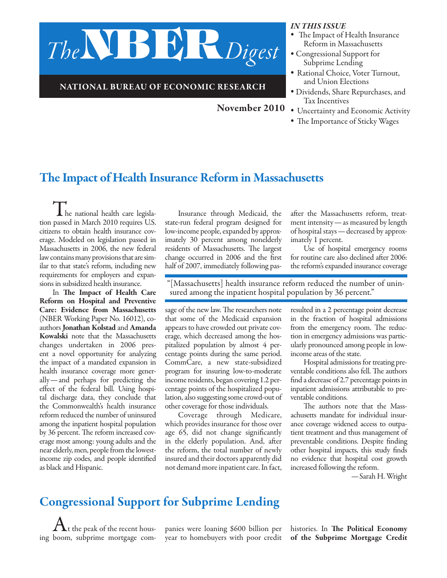

#### National Bureau of Economic Research

November 2010

- *In this issue •* The Impact of Health Insurance Reform in Massachusetts
- *•* Congressional Support for Subprime Lending
- *•* Rational Choice, Voter Turnout, and Union Elections
- *•* Dividends, Share Repurchases, and Tax Incentives
- *•* Uncertainty and Economic Activity
- *•* The Importance of Sticky Wages

# The Impact of Health Insurance Reform in Massachusetts

 $\blacksquare$  he national health care legislation passed in March 2010 requires U.S. citizens to obtain health insurance coverage. Modeled on legislation passed in Massachusetts in 2006, the new federal law contains many provisions that are similar to that state's reform, including new requirements for employers and expansions in subsidized health insurance.

In The Impact of Health Care Reform on Hospital and Preventive Care: Evidence from Massachusetts (NBER Working Paper No. 16012), coauthors Jonathan Kolstad and Amanda Kowalski note that the Massachusetts changes undertaken in 2006 present a novel opportunity for analyzing the impact of a mandated expansion in health insurance coverage more generally—and perhaps for predicting the effect of the federal bill. Using hospital discharge data, they conclude that the Commonwealth's health insurance reform reduced the number of uninsured among the inpatient hospital population by 36 percent. The reform increased coverage most among: young adults and the near elderly, men, people from the lowestincome zip codes, and people identified as black and Hispanic.

Insurance through Medicaid, the state-run federal program designed for low-income people, expanded by approximately 30 percent among nonelderly residents of Massachusetts. The largest change occurred in 2006 and the first half of 2007, immediately following pas-

after the Massachusetts reform, treatment intensity—as measured by length of hospital stays—decreased by approximately 1 percent.

Use of hospital emergency rooms for routine care also declined after 2006: the reform's expanded insurance coverage

"[Massachusetts] health insurance reform reduced the number of unin- sured among the inpatient hospital population by 36 percent."

sage of the new law. The researchers note that some of the Medicaid expansion appears to have crowded out private coverage, which decreased among the hospitalized population by almost 4 percentage points during the same period. CommCare, a new state-subsidized program for insuring low-to-moderate income residents, began covering 1.2 percentage points of the hospitalized population, also suggesting some crowd-out of other coverage for those individuals.

Coverage through Medicare, which provides insurance for those over age 65, did not change significantly in the elderly population. And, after the reform, the total number of newly insured and their doctors apparently did not demand more inpatient care. In fact,

resulted in a 2 percentage point decrease in the fraction of hospital admissions from the emergency room. The reduction in emergency admissions was particularly pronounced among people in lowincome areas of the state.

Hospital admissions for treating preventable conditions also fell. The authors find a decrease of 2.7 percentage points in inpatient admissions attributable to preventable conditions.

The authors note that the Massachusetts mandate for individual insurance coverage widened access to outpatient treatment and thus management of preventable conditions. Despite finding other hospital impacts, this study finds no evidence that hospital cost growth increased following the reform.

—Sarah H. Wright

# Congressional Support for Subprime Lending

 $\bigwedge$ t the peak of the recent housing boom, subprime mortgage com-

panies were loaning \$600 billion per year to homebuyers with poor credit histories. In The Political Economy of the Subprime Mortgage Credit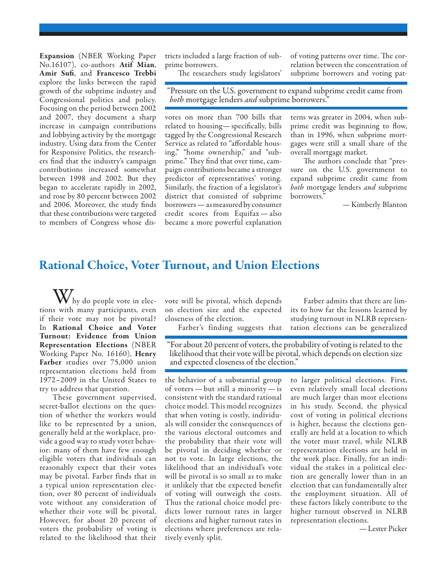Expansion (NBER Working Paper No.16107), co-authors Atif Mian, Amir Sufi, and Francesco Trebbi explore the links between the rapid growth of the subprime industry and Congressional politics and policy. Focusing on the period between 2002 and 2007, they document a sharp increase in campaign contributions and lobbying activity by the mortgage industry. Using data from the Center for Responsive Politics, the researchers find that the industry's campaign contributions increased somewhat between 1998 and 2002. But they began to accelerate rapidly in 2002, and rose by 80 percent between 2002 and 2006. Moreover, the study finds that these contributions were targeted to members of Congress whose districts included a large fraction of subprime borrowers.

of voting patterns over time. The correlation between the concentration of subprime borrowers and voting pat-

The researchers study legislators'

"Pressure on the U.S. government to expand subprime credit came from *both* mortgage lenders *and* subprime borrowers."

votes on more than 700 bills that related to housing—specifically, bills tagged by the Congressional Research Service as related to "affordable housing," "home ownership," and "subprime." They find that over time, campaign contributions became a stronger predictor of representatives' voting. Similarly, the fraction of a legislator's district that consisted of subprime borrowers—as measured by consumer credit scores from Equifax —also became a more powerful explanation

terns was greater in 2004, when subprime credit was beginning to flow, than in 1996, when subprime mortgages were still a small share of the overall mortgage market.

The authors conclude that "pressure on the U.S. government to expand subprime credit came from *both* mortgage lenders *and* subprime borrowers."

—Kimberly Blanton

#### Rational Choice, Voter Turnout, and Union Elections

 $\mathbf{W}_{\text{hy}}$  do people vote in elections with many participants, even if their vote may not be pivotal? In Rational Choice and Voter Turnout: Evidence from Union Representation Elections (NBER Working Paper No. 16160), Henry Farber studies over 75,000 union representation elections held from 1972–2009 in the United States to try to address that question.

These government supervised, secret-ballot elections on the question of whether the workers would like to be represented by a union, generally held at the workplace, provide a good way to study voter behavior: many of them have few enough eligible voters that individuals can reasonably expect that their votes may be pivotal. Farber finds that in a typical union representation election, over 80 percent of individuals vote without any consideration of whether their vote will be pivotal. However, for about 20 percent of voters the probability of voting is related to the likelihood that their

vote will be pivotal, which depends on election size and the expected closeness of the election.

Farber's finding suggests that

Farber admits that there are limits to how far the lessons learned by studying turnout in NLRB representation elections can be generalized

"For about 20 percent of voters, the probability of voting is related to the likelihood that their vote will be pivotal, which depends on election size and expected closeness of the election."

the behavior of a substantial group of voters — but still a minority — is consistent with the standard rational choice model. This model recognizes that when voting is costly, individuals will consider the consequences of the various electoral outcomes and the probability that their vote will be pivotal in deciding whether or not to vote. In large elections, the likelihood that an individual's vote will be pivotal is so small as to make it unlikely that the expected benefit of voting will outweigh the costs. Thus the rational choice model predicts lower turnout rates in larger elections and higher turnout rates in elections where preferences are relatively evenly split.

to larger political elections. First, even relatively small local elections are much larger than most elections in his study. Second, the physical cost of voting in political elections is higher, because the elections generally are held at a location to which the voter must travel, while NLRB representation elections are held in the work place. Finally, for an individual the stakes in a political election are generally lower than in an election that can fundamentally alter the employment situation. All of these factors likely contribute to the higher turnout observed in NLRB representation elections.

—Lester Picker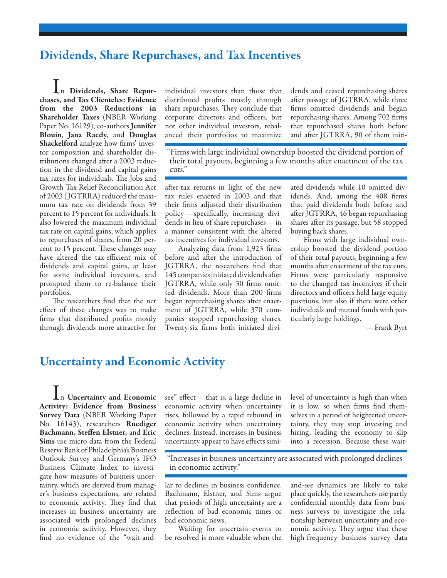## Dividends, Share Repurchases, and Tax Incentives

In Dividends, Share Repurchases, and Tax Clienteles: Evidence from the 2003 Reductions in Shareholder Taxes (NBER Working Paper No. 16129), co-authors **Jennifer** Blouin, Jana Raedy, and Douglas Shackelford analyze how firms' investor composition and shareholder distributions changed after a 2003 reduction in the dividend and capital gains tax rates for individuals. The Jobs and Growth Tax Relief Reconciliation Act of 2003 ( JGTRRA) reduced the maximum tax rate on dividends from 39 percent to 15 percent for individuals. It also lowered the maximum individual tax rate on capital gains, which applies to repurchases of shares, from 20 percent to 15 percent. These changes may have altered the tax-efficient mix of dividends and capital gains, at least for some individual investors, and prompted them to re-balance their portfolios.

The researchers find that the net effect of these changes was to make firms that distributed profits mostly through dividends more attractive for

individual investors than those that distributed profits mostly through share repurchases. They conclude that corporate directors and officers, but not other individual investors, rebalanced their portfolios to maximize

dends and ceased repurchasing shares after passage of JGTRRA, while three firms omitted dividends and began repurchasing shares. Among 702 firms that repurchased shares both before and after JGTRRA, 90 of them initi-

"Firms with large individual ownership boosted the dividend portion of their total payouts, beginning a few months after enactment of the tax cuts."

after-tax returns in light of the new tax rules enacted in 2003 and that their firms adjusted their distribution policy—specifically, increasing dividends in lieu of share repurchases—in a manner consistent with the altered tax incentives for individual investors.

Analyzing data from 1,923 firms before and after the introduction of JGTRRA, the researchers find that 145 companies initiated dividends after JGTRRA, while only 30 firms omitted dividends. More than 200 firms began repurchasing shares after enactment of JGTRRA, while 370 companies stopped repurchasing shares. Twenty-six firms both initiated diviated dividends while 10 omitted dividends. And, among the 408 firms that paid dividends both before and after JGTRRA, 46 began repurchasing shares after its passage, but 58 stopped buying back shares.

Firms with large individual ownership boosted the dividend portion of their total payouts, beginning a few months after enactment of the tax cuts. Firms were particularly responsive to the changed tax incentives if their directors and officers held large equity positions, but also if there were other individuals and mutual funds with particularly large holdings.

—Frank Byrt

## Uncertainty and Economic Activity

In Uncertainty and Economic Activity: Evidence from Business Survey Data (NBER Working Paper No. 16143), researchers Ruediger Bachmann, Steffen Elstner, and Eric Sims use micro data from the Federal Reserve Bank of Philadelphia's Business Outlook Survey and Germany's IFO Business Climate Index to investigate how measures of business uncertainty, which are derived from manager's business expectations, are related to economic activity. They find that increases in business uncertainty are associated with prolonged declines in economic activity. However, they find no evidence of the "wait-and-

see" effect—that is, a large decline in economic activity when uncertainty rises, followed by a rapid rebound in economic activity when uncertainty declines. Instead, increases in business uncertainty appear to have effects similevel of uncertainty is high than when it is low, so when firms find themselves in a period of heightened uncertainty, they may stop investing and hiring, leading the economy to slip into a recession. Because these wait-

"Increases in business uncertainty are associated with prolonged declines in economic activity."

lar to declines in business confidence. Bachmann, Elstner, and Sims argue that periods of high uncertainty are a reflection of bad economic times or bad economic news.

Waiting for uncertain events to be resolved is more valuable when the and-see dynamics are likely to take place quickly, the researchers use partly confidential monthly data from business surveys to investigate the relationship between uncertainty and economic activity. They argue that these high-frequency business survey data